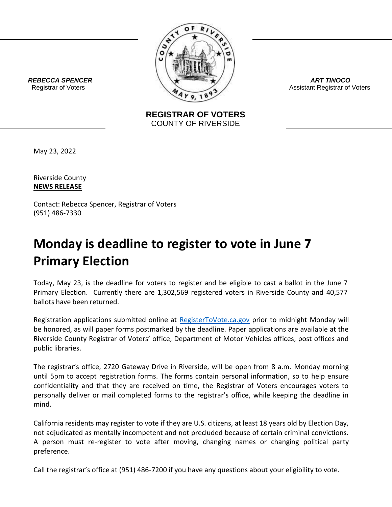

*ART TINOCO* Assistant Registrar of Voters

 *REBECCA SPENCER* Registrar of Voters

> **REGISTRAR OF VOTERS** COUNTY OF RIVERSIDE

May 23, 2022

Riverside County **NEWS RELEASE**

Contact: Rebecca Spencer, Registrar of Voters (951) 486-7330

## **Monday is deadline to register to vote in June 7 Primary Election**

Today, May 23, is the deadline for voters to register and be eligible to cast a ballot in the June 7 Primary Election. Currently there are 1,302,569 registered voters in Riverside County and 40,577 ballots have been returned.

Registration applications submitted online at [RegisterToVote.ca.gov](https://nam01.safelinks.protection.outlook.com/?url=http%3A%2F%2Fregistertovote.ca.gov%2F&data=02%7C01%7CCGordon%40RIVCO.ORG%7C6997ba9f94484bba80fd08d7b19d3840%7Cd7f03410e0a84159b30054980ef605d0%7C0%7C0%7C637173161131353005&sdata=y%2BOYAIVS5n%2FcUuhBm93qj6GiSYAUtPgDlDg%2F4%2B9Jabo%3D&reserved=0) prior to midnight Monday will be honored, as will paper forms postmarked by the deadline. Paper applications are available at the Riverside County Registrar of Voters' office, Department of Motor Vehicles offices, post offices and public libraries.

The registrar's office, 2720 Gateway Drive in Riverside, will be open from 8 a.m. Monday morning until 5pm to accept registration forms. The forms contain personal information, so to help ensure confidentiality and that they are received on time, the Registrar of Voters encourages voters to personally deliver or mail completed forms to the registrar's office, while keeping the deadline in mind.

California residents may register to vote if they are U.S. citizens, at least 18 years old by Election Day, not adjudicated as mentally incompetent and not precluded because of certain criminal convictions. A person must re-register to vote after moving, changing names or changing political party preference.

Call the registrar's office at (951) 486-7200 if you have any questions about your eligibility to vote.